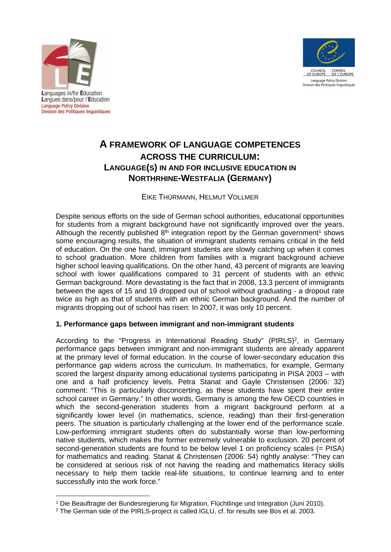



Languages in/for Education Langues dans/pour l'Education **Language Policy Division Division des Politiques linguistiques** 

# **A FRAMEWORK OF LANGUAGE COMPETENCES ACROSS THE CURRICULUM: LANGUAGE(S) IN AND FOR INCLUSIVE EDUCATION IN NORTHRHINE-WESTFALIA (GERMANY)**

## EIKE THÜRMANN, HELMUT VOLLMER

Despite serious efforts on the side of German school authorities, educational opportunities for students from a migrant background have not significantly improved over the years. Although the recently published  $8<sup>th</sup>$  integration report by the German government<sup>1</sup> shows some encouraging results, the situation of immigrant students remains critical in the field of education. On the one hand, immigrant students are slowly catching up when it comes to school graduation. More children from families with a migrant background achieve higher school leaving qualifications. On the other hand, 43 percent of migrants are leaving school with lower qualifications compared to 31 percent of students with an ethnic German background. More devastating is the fact that in 2008, 13.3 percent of immigrants between the ages of 15 and 19 dropped out of school without graduating - a dropout rate twice as high as that of students with an ethnic German background. And the number of migrants dropping out of school has risen: In 2007, it was only 10 percent.

## **1. Performance gaps between immigrant and non-immigrant students**

According to the "Progress in International Reading Study" (PIRLS)<sup>2</sup>, in Germany performance gaps between immigrant and non-immigrant students are already apparent at the primary level of formal education. In the course of lower-secondary education this performance gap widens across the curriculum. In mathematics, for example, Germany scored the largest disparity among educational systems participating in PISA 2003 – with one and a half proficiency levels. Petra Stanat and Gayle Christensen (2006: 32) comment: "This is particularly disconcerting, as these students have spent their entire school career in Germany." In other words, Germany is among the few OECD countries in which the second-generation students from a migrant background perform at a significantly lower level (in mathematics, science, reading) than their first-generation peers. The situation is particularly challenging at the lower end of the performance scale. Low-performing immigrant students often do substantially worse than low-performing native students, which makes the former extremely vulnerable to exclusion. 20 percent of second-generation students are found to be below level 1 on proficiency scales (= PISA) for mathematics and reading. Stanat & Christensen (2006: 54) rightly analyse: "They can be considered at serious risk of not having the reading and mathematics literacy skills necessary to help them tackle real-life situations, to continue learning and to enter successfully into the work force."

<sup>1</sup> Die Beauftragte der Bundesregierung für Migration, Flüchtlinge und Integration (Juni 2010).

<sup>2</sup> The German side of the PIRLS-project is called IGLU, cf. for results see Bos et al. 2003.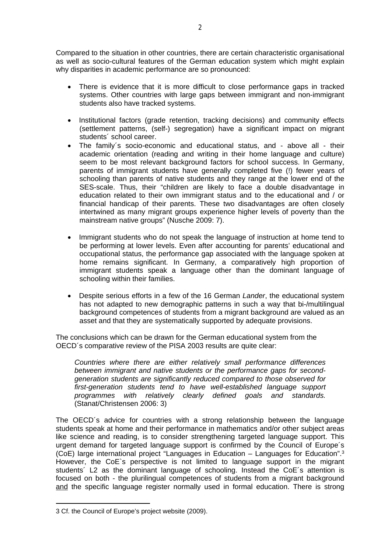Compared to the situation in other countries, there are certain characteristic organisational as well as socio-cultural features of the German education system which might explain why disparities in academic performance are so pronounced:

- There is evidence that it is more difficult to close performance gaps in tracked systems. Other countries with large gaps between immigrant and non-immigrant students also have tracked systems.
- Institutional factors (grade retention, tracking decisions) and community effects (settlement patterns, (self-) segregation) have a significant impact on migrant students<sup>'</sup> school career.
- The family´s socio-economic and educational status, and above all their academic orientation (reading and writing in their home language and culture) seem to be most relevant background factors for school success. In Germany, parents of immigrant students have generally completed five (!) fewer years of schooling than parents of native students and they range at the lower end of the SES-scale. Thus, their "children are likely to face a double disadvantage in education related to their own immigrant status and to the educational and / or financial handicap of their parents. These two disadvantages are often closely intertwined as many migrant groups experience higher levels of poverty than the mainstream native groups" (Nusche 2009: 7).
- Immigrant students who do not speak the language of instruction at home tend to be performing at lower levels. Even after accounting for parents' educational and occupational status, the performance gap associated with the language spoken at home remains significant. In Germany, a comparatively high proportion of immigrant students speak a language other than the dominant language of schooling within their families.
- Despite serious efforts in a few of the 16 German *Lander*, the educational system has not adapted to new demographic patterns in such a way that bi-/multilingual background competences of students from a migrant background are valued as an asset and that they are systematically supported by adequate provisions.

The conclusions which can be drawn for the German educational system from the OECD´s comparative review of the PISA 2003 results are quite clear:

*Countries where there are either relatively small performance differences between immigrant and native students or the performance gaps for secondgeneration students are significantly reduced compared to those observed for first-generation students tend to have well-established language support programmes with relatively clearly defined goals and standards.* (Stanat/Christensen 2006: 3)

The OECD´s advice for countries with a strong relationship between the language students speak at home and their performance in mathematics and/or other subject areas like science and reading, is to consider strengthening targeted language support. This urgent demand for targeted language support is confirmed by the Council of Europe´s (CoE) large international project "Languages in Education – Languages for Education".<sup>3</sup> However, the CoE`s perspective is not limited to language support in the migrant students´ L2 as the dominant language of schooling. Instead the CoE´s attention is focused on both - the plurilingual competences of students from a migrant background and the specific language register normally used in formal education. There is strong

<sup>3</sup> Cf. the Council of Europe's project website (2009).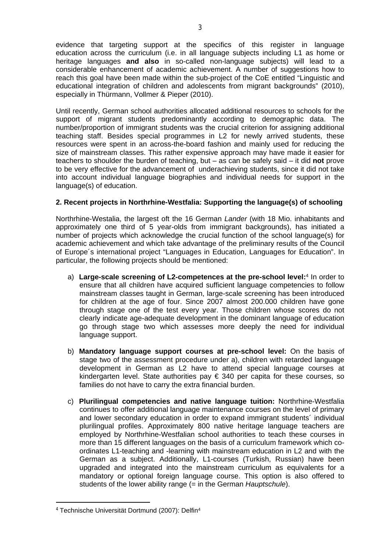evidence that targeting support at the specifics of this register in language education across the curriculum (i.e. in all language subjects including L1 as home or heritage languages **and also** in so-called non-language subjects) will lead to a considerable enhancement of academic achievement. A number of suggestions how to reach this goal have been made within the sub-project of the CoE entitled "Linguistic and educational integration of children and adolescents from migrant backgrounds" (2010), especially in Thürmann, Vollmer & Pieper (2010).

Until recently, German school authorities allocated additional resources to schools for the support of migrant students predominantly according to demographic data. The number/proportion of immigrant students was the crucial criterion for assigning additional teaching staff. Besides special programmes in L2 for newly arrived students, these resources were spent in an across-the-board fashion and mainly used for reducing the size of mainstream classes. This rather expensive approach may have made it easier for teachers to shoulder the burden of teaching, but – as can be safely said – it did **not** prove to be very effective for the advancement of underachieving students, since it did not take into account individual language biographies and individual needs for support in the language(s) of education.

## **2. Recent projects in Northrhine-Westfalia: Supporting the language(s) of schooling**

Northrhine-Westalia, the largest oft the 16 German *Lander* (with 18 Mio. inhabitants and approximately one third of 5 year-olds from immigrant backgrounds), has initiated a number of projects which acknowledge the crucial function of the school language(s) for academic achievement and which take advantage of the preliminary results of the Council of Europe´s international project "Languages in Education, Languages for Education". In particular, the following projects should be mentioned:

- a) **Large-scale screening of L2-competences at the pre-school level:**<sup>4</sup> In order to ensure that all children have acquired sufficient language competencies to follow mainstream classes taught in German, large-scale screening has been introduced for children at the age of four. Since 2007 almost 200.000 children have gone through stage one of the test every year. Those children whose scores do not clearly indicate age-adequate development in the dominant language of education go through stage two which assesses more deeply the need for individual language support.
- b) **Mandatory language support courses at pre-school level:** On the basis of stage two of the assessment procedure under a), children with retarded language development in German as L2 have to attend special language courses at kindergarten level. State authorities pay  $\epsilon$  340 per capita for these courses, so families do not have to carry the extra financial burden.
- c) **Plurilingual competencies and native language tuition:** Northrhine-Westfalia continues to offer additional language maintenance courses on the level of primary and lower secondary education in order to expand immigrant students´ individual plurilingual profiles. Approximately 800 native heritage language teachers are employed by Northrhine-Westfalian school authorities to teach these courses in more than 15 different languages on the basis of a curriculum framework which coordinates L1-teaching and -learning with mainstream education in L2 and with the German as a subject. Additionally, L1-courses (Turkish, Russian) have been upgraded and integrated into the mainstream curriculum as equivalents for a mandatory or optional foreign language course. This option is also offered to students of the lower ability range (= in the German *Hauptschule*).

<sup>&</sup>lt;sup>4</sup> Technische Universität Dortmund (2007): Delfin<sup>4</sup>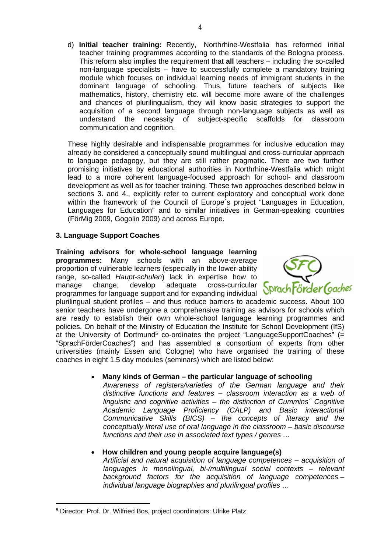d) **Initial teacher training:** Recently, Northrhine-Westfalia has reformed initial teacher training programmes according to the standards of the Bologna process. This reform also implies the requirement that **all** teachers – including the so-called non-language specialists – have to successfully complete a mandatory training module which focuses on individual learning needs of immigrant students in the dominant language of schooling. Thus, future teachers of subjects like mathematics, history, chemistry etc. will become more aware of the challenges and chances of plurilingualism, they will know basic strategies to support the acquisition of a second language through non-language subjects as well as understand the necessity of subject-specific scaffolds for classroom communication and cognition.

These highly desirable and indispensable programmes for inclusive education may already be considered a conceptually sound multilingual and cross-curricular approach to language pedagogy, but they are still rather pragmatic. There are two further promising initiatives by educational authorities in Northrhine-Westfalia which might lead to a more coherent language-focused approach for school- and classroom development as well as for teacher training. These two approaches described below in sections 3. and 4., explicitly refer to current exploratory and conceptual work done within the framework of the Council of Europe´s project "Languages in Education, Languages for Education" and to similar initiatives in German-speaking countries (FörMig 2009, Gogolin 2009) and across Europe.

## **3. Language Support Coaches**

**Training advisors for whole-school language learning programmes:** Many schools with an above-average proportion of vulnerable learners (especially in the lower-ability range, so-called *Haupt-schulen*) lack in expertise how to manage change, develop adequate cross-curricular programmes for language support and for expanding individual



plurilingual student profiles – and thus reduce barriers to academic success. About 100 senior teachers have undergone a comprehensive training as advisors for schools which are ready to establish their own whole-school language learning programmes and policies. On behalf of the Ministry of Education the Institute for School Development (IfS) at the University of Dortmund<sup>5</sup> co-ordinates the project "LanguageSupportCoaches"  $(=$ "SprachFörderCoaches") and has assembled a consortium of experts from other universities (mainly Essen and Cologne) who have organised the training of these coaches in eight 1.5 day modules (seminars) which are listed below:

## **Many kinds of German – the particular language of schooling**

*Awareness of registers/varieties of the German language and their distinctive functions and features – classroom interaction as a web of linguistic and cognitive activities – the distinction of Cummins´ Cognitive Academic Language Proficiency (CALP) and Basic interactional Communicative Skills (BICS) – the concepts of literacy and the conceptually literal use of oral language in the classroom – basic discourse functions and their use in associated text types / genres …*

## **How children and young people acquire language(s)**

*Artificial and natural acquisition of language competences – acquisition of languages in monolingual, bi-/multilingual social contexts – relevant background factors for the acquisition of language competences – individual language biographies and plurilingual profiles …*

<sup>5</sup> Director: Prof. Dr. Wilfried Bos, project coordinators: Ulrike Platz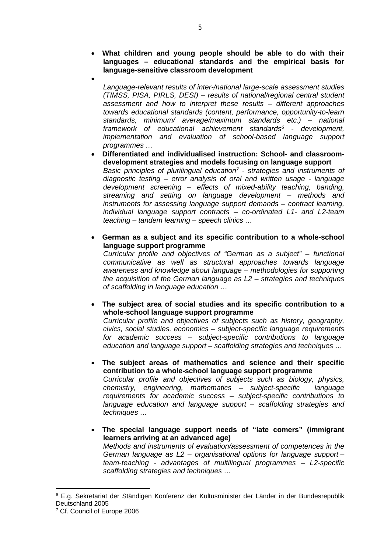- **What children and young people should be able to do with their languages – educational standards and the empirical basis for language-sensitive classroom development**
- $\bullet$

*Language-relevant results of inter-/national large-scale assessment studies (TIMSS, PISA, PIRLS, DESI) – results of national/regional central student assessment and how to interpret these results – different approaches towards educational standards (content, performance, opportunity-to-learn standards, minimum/ average/maximum standards etc.) – national framework of educational achievement standards<sup>6</sup> - development, implementation and evaluation of school-based language support programmes …*

 **Differentiated and individualised instruction: School- and classroomdevelopment strategies and models focusing on language support** *Basic principles of plurilingual education<sup>7</sup> - strategies and instruments of diagnostic testing – error analysis of oral and written usage - language development screening – effects of mixed-ability teaching, banding, streaming and setting on language development – methods and instruments for assessing language support demands – contract learning, individual language support contracts – co-ordinated L1- and L2-team teaching – tandem learning – speech clinics …*

 **German as a subject and its specific contribution to a whole-school language support programme**

*Curricular profile and objectives of "German as a subject" – functional communicative as well as structural approaches towards language awareness and knowledge about language – methodologies for supporting the acquisition of the German language as L2 – strategies and techniques of scaffolding in language education …*

 **The subject area of social studies and its specific contribution to a whole-school language support programme**

*Curricular profile and objectives of subjects such as history, geography, civics, social studies, economics – subject-specific language requirements for academic success – subject-specific contributions to language education and language support – scaffolding strategies and techniques …*

- **The subject areas of mathematics and science and their specific contribution to a whole-school language support programme** *Curricular profile and objectives of subjects such as biology, physics, chemistry, engineering, mathematics – subject-specific language requirements for academic success – subject-specific contributions to language education and language support – scaffolding strategies and techniques …*
- **The special language support needs of "late comers" (immigrant learners arriving at an advanced age)** *Methods and instruments of evaluation/assessment of competences in the German language as L2 – organisational options for language support – team-teaching - advantages of multilingual programmes – L2-specific scaffolding strategies and techniques …*

<sup>6</sup> E.g. Sekretariat der Ständigen Konferenz der Kultusminister der Länder in der Bundesrepublik Deutschland 2005

<sup>7</sup> Cf. Council of Europe 2006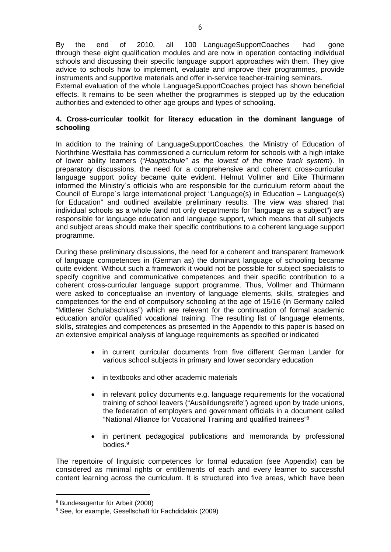By the end of 2010, all 100 LanguageSupportCoaches had gone through these eight qualification modules and are now in operation contacting individual schools and discussing their specific language support approaches with them. They give advice to schools how to implement, evaluate and improve their programmes, provide instruments and supportive materials and offer in-service teacher-training seminars.

External evaluation of the whole LanguageSupportCoaches project has shown beneficial effects. It remains to be seen whether the programmes is stepped up by the education authorities and extended to other age groups and types of schooling.

## **4. Cross-curricular toolkit for literacy education in the dominant language of schooling**

In addition to the training of LanguageSupportCoaches, the Ministry of Education of Northrhine-Westfalia has commissioned a curriculum reform for schools with a high intake of lower ability learners ("*Hauptschule" as the lowest of the three track system*). In preparatory discussions, the need for a comprehensive and coherent cross-curricular language support policy became quite evident. Helmut Vollmer and Eike Thürmann informed the Ministry´s officials who are responsible for the curriculum reform about the Council of Europe´s large international project "Language(s) in Education – Language(s) for Education" and outlined available preliminary results. The view was shared that individual schools as a whole (and not only departments for "language as a subject") are responsible for language education and language support, which means that all subjects and subject areas should make their specific contributions to a coherent language support programme.

During these preliminary discussions, the need for a coherent and transparent framework of language competences in (German as) the dominant language of schooling became quite evident. Without such a framework it would not be possible for subject specialists to specify cognitive and communicative competences and their specific contribution to a coherent cross-curricular language support programme. Thus, Vollmer and Thürmann were asked to conceptualise an inventory of language elements, skills, strategies and competences for the end of compulsory schooling at the age of 15/16 (in Germany called "Mittlerer Schulabschluss") which are relevant for the continuation of formal academic education and/or qualified vocational training. The resulting list of language elements, skills, strategies and competences as presented in the Appendix to this paper is based on an extensive empirical analysis of language requirements as specified or indicated

- in current curricular documents from five different German Lander for various school subjects in primary and lower secondary education
- in textbooks and other academic materials
- in relevant policy documents e.g. language requirements for the vocational training of school leavers ("Ausbildungsreife") agreed upon by trade unions, the federation of employers and government officials in a document called "National Alliance for Vocational Training and qualified trainees"<sup>8</sup>
- in pertinent pedagogical publications and memoranda by professional bodies.<sup>9</sup>

The repertoire of linguistic competences for formal education (see Appendix) can be considered as minimal rights or entitlements of each and every learner to successful content learning across the curriculum. It is structured into five areas, which have been

<sup>8</sup> Bundesagentur für Arbeit (2008)

<sup>9</sup> See, for example, Gesellschaft für Fachdidaktik (2009)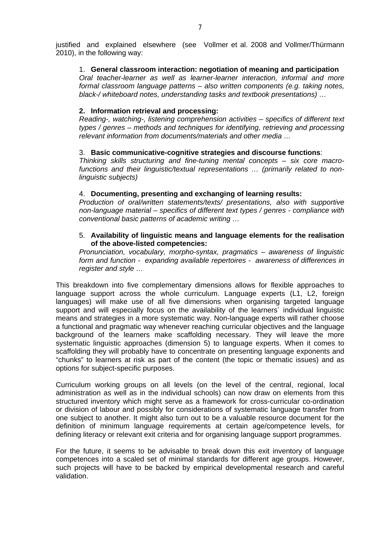justified and explained elsewhere (see Vollmer et al. 2008 and Vollmer/Thürmann 2010), in the following way:

#### 1. **General classroom interaction: negotiation of meaning and participation**

*Oral teacher-learner as well as learner-learner interaction, informal and more formal classroom language patterns – also written components (e.g. taking notes, black-/ whiteboard notes, understanding tasks and textbook presentations) …*

#### **2. Information retrieval and processing:**

*Reading-, watching-, listening comprehension activities – specifics of different text types / genres – methods and techniques for identifying, retrieving and processing relevant information from documents/materials and other media …*

#### 3. **Basic communicative-cognitive strategies and discourse functions**:

*Thinking skills structuring and fine-tuning mental concepts – six core macrofunctions and their linguistic/textual representations … (primarily related to nonlinguistic subjects)*

#### 4. **Documenting, presenting and exchanging of learning results:**

*Production of oral/written statements/texts/ presentations, also with supportive non-language material – specifics of different text types / genres - compliance with conventional basic patterns of academic writing …*

#### 5. **Availability of linguistic means and language elements for the realisation of the above-listed competencies:**

*Pronunciation, vocabulary, morpho-syntax, pragmatics – awareness of linguistic form and function - expanding available repertoires - awareness of differences in register and style …*

This breakdown into five complementary dimensions allows for flexible approaches to language support across the whole curriculum. Language experts (L1, L2, foreign languages) will make use of all five dimensions when organising targeted language support and will especially focus on the availability of the learners' individual linguistic means and strategies in a more systematic way. Non-language experts will rather choose a functional and pragmatic way whenever reaching curricular objectives and the language background of the learners make scaffolding necessary. They will leave the more systematic linguistic approaches (dimension 5) to language experts. When it comes to scaffolding they will probably have to concentrate on presenting language exponents and "chunks" to learners at risk as part of the content (the topic or thematic issues) and as options for subject-specific purposes.

Curriculum working groups on all levels (on the level of the central, regional, local administration as well as in the individual schools) can now draw on elements from this structured inventory which might serve as a framework for cross-curricular co-ordination or division of labour and possibly for considerations of systematic language transfer from one subject to another. It might also turn out to be a valuable resource document for the definition of minimum language requirements at certain age/competence levels, for defining literacy or relevant exit criteria and for organising language support programmes.

For the future, it seems to be advisable to break down this exit inventory of language competences into a scaled set of minimal standards for different age groups. However, such projects will have to be backed by empirical developmental research and careful validation.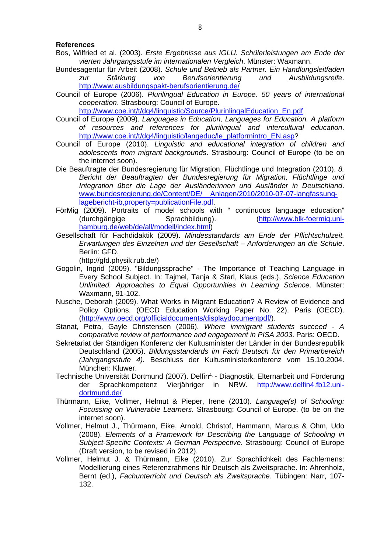#### **References**

- Bos, Wilfried et al. (2003). *Erste Ergebnisse aus IGLU. Schülerleistungen am Ende der vierten Jahrgangsstufe im internationalen Vergleich*. Münster: Waxmann.
- Bundesagentur für Arbeit (2008). *Schule und Betrieb als Partner. Ein Handlungsleitfaden zur Stärkung von Berufsorientierung und Ausbildungsreife*. <http://www.ausbildungspakt-berufsorientierung.de/>
- Council of Europe (2006). *Plurilingual Education in Europe. 50 years of international cooperation*. Strasbourg: Council of Europe.

[http://www.coe.int/t/dg4/linguistic/Source/PlurinlingalEducation\\_En.pdf](http://www.coe.int/t/dg4/linguistic/Source/PlurinlingalEducation_En.pdf)

- Council of Europe (2009). *Languages in Education, Languages for Education. A platform of resources and references for plurilingual and intercultural education*. [http://www.coe.int/t/dg4/linguistic/langeduc/le\\_platformintro\\_EN.asp?](http://www.coe.int/t/dg4/linguistic/langeduc/le_platformintro_EN.asp)
- Council of Europe (2010). *Linguistic and educational integration of children and adolescents from migrant backgrounds*. Strasbourg: Council of Europe (to be on the internet soon).
- Die Beauftragte der Bundesregierung für Migration, Flüchtlinge und Integration (2010). *8. Bericht der Beauftragten der Bundesregierung für Migration, Flüchtlinge und Integration über die Lage der Ausländerinnen und Ausländer in Deutschland*. [www.bundesregierung.de/Content/DE/\\_\\_Anlagen/2010/2010-07-07-langfassung](http://www.bundesregierung.de/Content/DE/__Anlagen/2010/2010-07-07-langfassung-lagebericht-ib,property=publicationFile.pdf)[lagebericht-ib,property=publicationFile.pdf.](http://www.bundesregierung.de/Content/DE/__Anlagen/2010/2010-07-07-langfassung-lagebericht-ib,property=publicationFile.pdf)
- FörMig (2009). Portraits of model schools with " continuous language education" (durchgängige Sprachbildung). [\(http://www.blk-foermig.uni](http://www.blk-foermig.uni-hamburg.de/web/de/all/modell/index.html)[hamburg.de/web/de/all/modell/index.html](http://www.blk-foermig.uni-hamburg.de/web/de/all/modell/index.html))
- Gesellschaft für Fachdidaktik (2009). *Mindesstandards am Ende der Pflichtschulzeit. Erwartungen des Einzelnen und der Gesellschaft – Anforderungen an die Schule*. Berlin: GFD.

(http://gfd.physik.rub.de/)

- Gogolin, Ingrid (2009). "Bildungssprache" The Importance of Teaching Language in Every School Subject. In: Tajmel, Tanja & Starl, Klaus (eds.), *Science Education Unlimited. Approaches to Equal Opportunities in Learning Science*. Münster: Waxmann, 91-102.
- Nusche, Deborah (2009). What Works in Migrant Education? A Review of Evidence and Policy Options. (OECD Education Working Paper No. 22). Paris (OECD). [\(http://www.oecd.org/officialdocuments/displaydocumentpdf/](http://www.oecd.org/officialdocuments/displaydocumentpdf/)).
- Stanat, Petra, Gayle Christensen (2006). *Where immigrant students succeed - A comparative review of performance and engagement in PISA 2003*. Paris: OECD.
- Sekretariat der Ständigen Konferenz der Kultusminister der Länder in der Bundesrepublik Deutschland (2005). *Bildungsstandards im Fach Deutsch für den Primarbereich (Jahrgangsstufe 4).* Beschluss der Kultusministerkonferenz vom 15.10.2004. München: Kluwer.
- Technische Universität Dortmund (2007). Delfin4. Diagnostik, Elternarbeit und Förderung der Sprachkompetenz Vierjähriger in NRW. [http://www.delfin4.fb12.uni](http://www.delfin4.fb12.uni-dortmund.de/)[dortmund.de/](http://www.delfin4.fb12.uni-dortmund.de/)
- Thürmann, Eike, Vollmer, Helmut & Pieper, Irene (2010). *Language(s) of Schooling: Focussing on Vulnerable Learners*. Strasbourg: Council of Europe. (to be on the internet soon).
- Vollmer, Helmut J., Thürmann, Eike, Arnold, Christof, Hammann, Marcus & Ohm, Udo (2008). *Elements of a Framework for Describing the Language of Schooling in Subject-Specific Contexts: A German Perspective*. Strasbourg: Council of Europe (Draft version, to be revised in 2012).
- Vollmer, Helmut J. & Thürmann, Eike (2010). Zur Sprachlichkeit des Fachlernens: Modellierung eines Referenzrahmens für Deutsch als Zweitsprache. In: Ahrenholz, Bernt (ed.), *Fachunterricht und Deutsch als Zweitsprache*. Tübingen: Narr, 107- 132.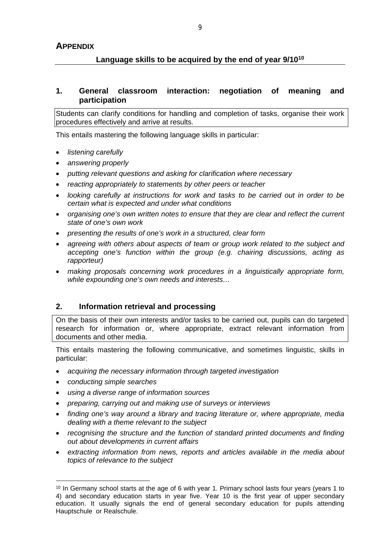# **Language skills to be acquired by the end of year 9/10<sup>10</sup>**

## **1. General classroom interaction: negotiation of meaning and participation**

Students can clarify conditions for handling and completion of tasks, organise their work procedures effectively and arrive at results.

This entails mastering the following language skills in particular:

- *listening carefully*
- *answering properly*
- *putting relevant questions and asking for clarification where necessary*
- *reacting appropriately to statements by other peers or teacher*
- *looking carefully at instructions for work and tasks to be carried out in order to be certain what is expected and under what conditions*
- *organising one's own written notes to ensure that they are clear and reflect the current state of one's own work*
- *presenting the results of one's work in a structured, clear form*
- *agreeing with others about aspects of team or group work related to the subject and accepting one's function within the group (e.g. chairing discussions, acting as rapporteur)*
- *making proposals concerning work procedures in a linguistically appropriate form, while expounding one's own needs and interests…*

## **2. Information retrieval and processing**

On the basis of their own interests and/or tasks to be carried out, pupils can do targeted research for information or, where appropriate, extract relevant information from documents and other media.

This entails mastering the following communicative, and sometimes linguistic, skills in particular:

- *acquiring the necessary information through targeted investigation*
- *conducting simple searches*
- *using a diverse range of information sources*
- *preparing, carrying out and making use of surveys or interviews*
- *finding one's way around a library and tracing literature or, where appropriate, media dealing with a theme relevant to the subject*
- *recognising the structure and the function of standard printed documents and finding out about developments in current affairs*
- *extracting information from news, reports and articles available in the media about topics of relevance to the subject*

<sup>&</sup>lt;sup>10</sup> In Germany school starts at the age of 6 with year 1. Primary school lasts four years (years 1 to 4) and secondary education starts in year five. Year 10 is the first year of upper secondary education. It usually signals the end of general secondary education for pupils attending Hauptschule or Realschule.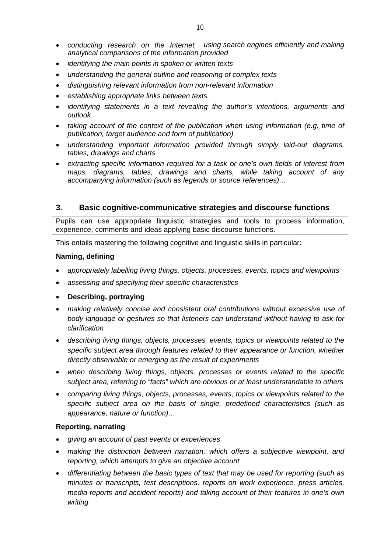- *conducting research on the Internet, using search engines efficiently and making analytical comparisons of the information provided*
- *identifying the main points in spoken or written texts*
- *understanding the general outline and reasoning of complex texts*
- *distinguishing relevant information from non-relevant information*
- *establishing appropriate links between texts*
- *identifying statements in a text revealing the author's intentions, arguments and outlook*
- *taking account of the context of the publication when using information (e.g. time of publication, target audience and form of publication)*
- *understanding important information provided through simply laid-out diagrams, tables, drawings and charts*
- *extracting specific information required for a task or one's own fields of interest from maps, diagrams, tables, drawings and charts, while taking account of any accompanying information (such as legends or source references)…*

# **3. Basic cognitive-communicative strategies and discourse functions**

Pupils can use appropriate linguistic strategies and tools to process information, experience, comments and ideas applying basic discourse functions.

This entails mastering the following cognitive and linguistic skills in particular:

#### **Naming, defining**

- *appropriately labelling living things, objects, processes, events, topics and viewpoints*
- *assessing and specifying their specific characteristics*
- **Describing, portraying**
- *making relatively concise and consistent oral contributions without excessive use of body language or gestures so that listeners can understand without having to ask for clarification*
- *describing living things, objects, processes, events, topics or viewpoints related to the specific subject area through features related to their appearance or function, whether directly observable or emerging as the result of experiments*
- *when describing living things, objects, processes or events related to the specific subject area, referring to "facts" which are obvious or at least understandable to others*
- *comparing living things, objects, processes, events, topics or viewpoints related to the specific subject area on the basis of single, predefined characteristics (such as appearance, nature or function)…*

## **Reporting, narrating**

- *giving an account of past events or experiences*
- *making the distinction between narration, which offers a subjective viewpoint, and reporting, which attempts to give an objective account*
- *differentiating between the basic types of text that may be used for reporting (such as minutes or transcripts, test descriptions, reports on work experience, press articles, media reports and accident reports) and taking account of their features in one's own writing*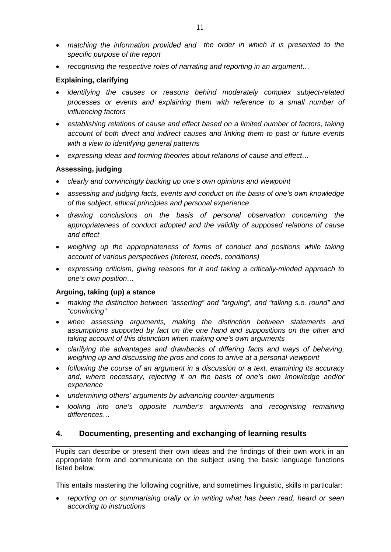- *matching the information provided and the order in which it is presented to the specific purpose of the report*
- *recognising the respective roles of narrating and reporting in an argument…*

## **Explaining, clarifying**

- *identifying the causes or reasons behind moderately complex subject-related processes or events and explaining them with reference to a small number of influencing factors*
- *establishing relations of cause and effect based on a limited number of factors, taking account of both direct and indirect causes and linking them to past or future events with a view to identifying general patterns*
- *expressing ideas and forming theories about relations of cause and effect…*

# **Assessing, judging**

- *clearly and convincingly backing up one's own opinions and viewpoint*
- *assessing and judging facts, events and conduct on the basis of one's own knowledge of the subject, ethical principles and personal experience*
- *drawing conclusions on the basis of personal observation concerning the appropriateness of conduct adopted and the validity of supposed relations of cause and effect*
- *weighing up the appropriateness of forms of conduct and positions while taking account of various perspectives (interest, needs, conditions)*
- *expressing criticism, giving reasons for it and taking a critically-minded approach to one's own position…*

# **Arguing, taking (up) a stance**

- *making the distinction between "asserting" and "arguing", and "talking s.o. round" and "convincing"*
- *when assessing arguments, making the distinction between statements and assumptions supported by fact on the one hand and suppositions on the other and taking account of this distinction when making one's own arguments*
- *clarifying the advantages and drawbacks of differing facts and ways of behaving, weighing up and discussing the pros and cons to arrive at a personal viewpoint*
- *following the course of an argument in a discussion or a text, examining its accuracy and, where necessary, rejecting it on the basis of one's own knowledge and/or experience*
- *undermining others' arguments by advancing counter-arguments*
- *looking into one's opposite number's arguments and recognising remaining differences…*

# **4. Documenting, presenting and exchanging of learning results**

Pupils can describe or present their own ideas and the findings of their own work in an appropriate form and communicate on the subject using the basic language functions listed below.

This entails mastering the following cognitive, and sometimes linguistic, skills in particular:

 *reporting on or summarising orally or in writing what has been read, heard or seen according to instructions*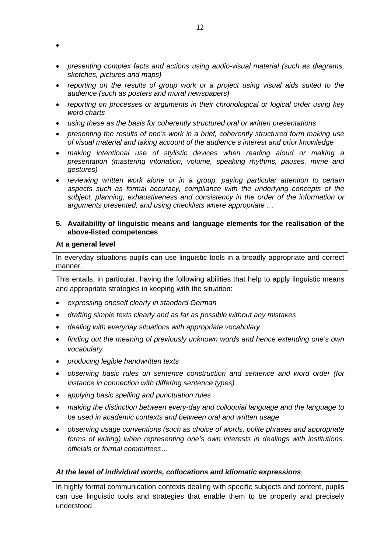- $\bullet$
- *presenting complex facts and actions using audio-visual material (such as diagrams, sketches, pictures and maps)*
- *reporting on the results of group work or a project using visual aids suited to the audience (such as posters and mural newspapers)*
- *reporting on processes or arguments in their chronological or logical order using key word charts*
- *using these as the basis for coherently structured oral or written presentations*
- *presenting the results of one's work in a brief, coherently structured form making use of visual material and taking account of the audience's interest and prior knowledge*
- *making intentional use of stylistic devices when reading aloud or making a presentation (mastering intonation, volume, speaking rhythms, pauses, mime and gestures)*
- *reviewing written work alone or in a group, paying particular attention to certain aspects such as formal accuracy, compliance with the underlying concepts of the subject, planning, exhaustiveness and consistency in the order of the information or arguments presented, and using checklists where appropriate …*

## **5. Availability of linguistic means and language elements for the realisation of the above-listed competences**

## **At a general level**

In everyday situations pupils can use linguistic tools in a broadly appropriate and correct manner.

This entails, in particular, having the following abilities that help to apply linguistic means and appropriate strategies in keeping with the situation:

- *expressing oneself clearly in standard German*
- *drafting simple texts clearly and as far as possible without any mistakes*
- *dealing with everyday situations with appropriate vocabulary*
- *finding out the meaning of previously unknown words and hence extending one's own vocabulary*
- *producing legible handwritten texts*
- *observing basic rules on sentence construction and sentence and word order (for instance in connection with differing sentence types)*
- *applying basic spelling and punctuation rules*
- *making the distinction between every-day and colloquial language and the language to be used in academic contexts and between oral and written usage*
- *observing usage conventions (such as choice of words, polite phrases and appropriate forms of writing) when representing one's own interests in dealings with institutions, officials or formal committees…*

## *At the level of individual words, collocations and idiomatic expressions*

In highly formal communication contexts dealing with specific subjects and content, pupils can use linguistic tools and strategies that enable them to be properly and precisely understood.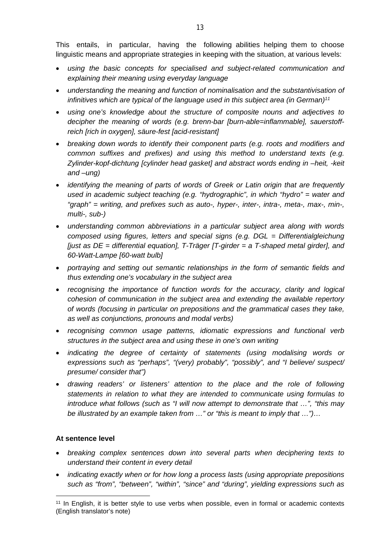This entails, in particular, having the following abilities helping them to choose linguistic means and appropriate strategies in keeping with the situation, at various levels:

- *using the basic concepts for specialised and subject-related communication and explaining their meaning using everyday language*
- *understanding the meaning and function of nominalisation and the substantivisation of infinitives which are typical of the language used in this subject area (in German)<sup>11</sup>*
- *using one's knowledge about the structure of composite nouns and adjectives to decipher the meaning of words (e.g. brenn-bar [burn-able=inflammable], sauerstoffreich [rich in oxygen], säure-fest [acid-resistant]*
- *breaking down words to identify their component parts (e.g. roots and modifiers and common suffixes and prefixes) and using this method to understand texts (e.g. Zylinder-kopf-dichtung [cylinder head gasket] and abstract words ending in –heit, -keit and –ung)*
- *identifying the meaning of parts of words of Greek or Latin origin that are frequently used in academic subject teaching (e.g. "hydrographic", in which "hydro" = water and "graph" = writing, and prefixes such as auto-, hyper-, inter-, intra-, meta-, max-, min-, multi-, sub-)*
- *understanding common abbreviations in a particular subject area along with words composed using figures, letters and special signs (e.g. DGL = Differentialgleichung [just as DE = differential equation], T-Träger [T-girder = a T-shaped metal girder], and 60-Watt-Lampe [60-watt bulb]*
- *portraying and setting out semantic relationships in the form of semantic fields and thus extending one's vocabulary in the subject area*
- *recognising the importance of function words for the accuracy, clarity and logical cohesion of communication in the subject area and extending the available repertory of words (focusing in particular on prepositions and the grammatical cases they take, as well as conjunctions, pronouns and modal verbs)*
- *recognising common usage patterns, idiomatic expressions and functional verb structures in the subject area and using these in one's own writing*
- *indicating the degree of certainty of statements (using modalising words or expressions such as "perhaps", "(very) probably", "possibly", and "I believe/ suspect/ presume/ consider that")*
- *drawing readers' or listeners' attention to the place and the role of following statements in relation to what they are intended to communicate using formulas to introduce what follows (such as "I will now attempt to demonstrate that …", "this may be illustrated by an example taken from …" or "this is meant to imply that …")…*

# **At sentence level**

- *breaking complex sentences down into several parts when deciphering texts to understand their content in every detail*
- *indicating exactly when or for how long a process lasts (using appropriate prepositions such as "from", "between", "within", "since" and "during", yielding expressions such as*

<sup>&</sup>lt;sup>11</sup> In English, it is better style to use verbs when possible, even in formal or academic contexts (English translator's note)